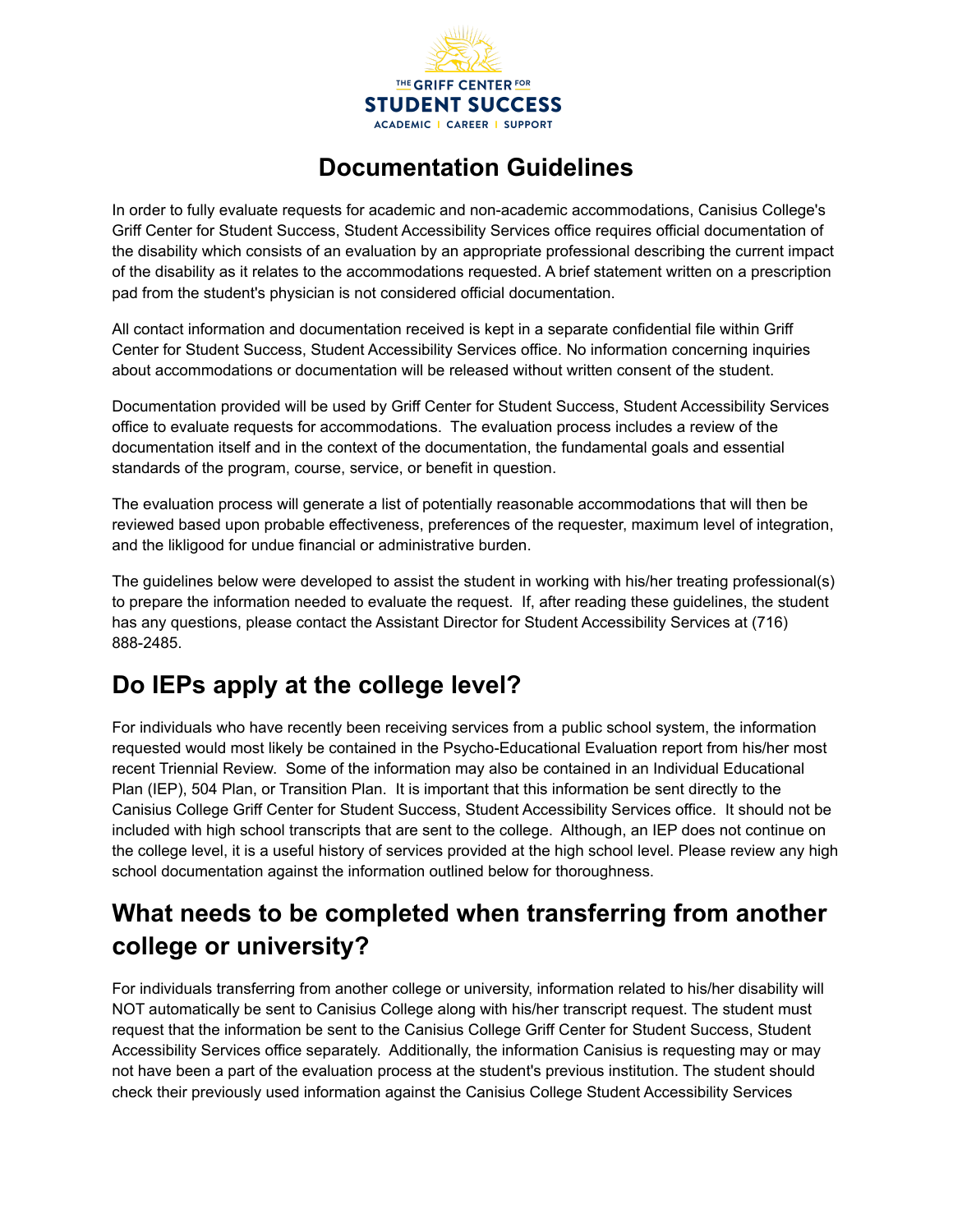

## **Documentation Guidelines**

In order to fully evaluate requests for academic and non-academic accommodations, Canisius College's Griff Center for Student Success, Student Accessibility Services office requires official documentation of the disability which consists of an evaluation by an appropriate professional describing the current impact of the disability as it relates to the accommodations requested. A brief statement written on a prescription pad from the student's physician is not considered official documentation.

All contact information and documentation received is kept in a separate confidential file within Griff Center for Student Success, Student Accessibility Services office. No information concerning inquiries about accommodations or documentation will be released without written consent of the student.

Documentation provided will be used by Griff Center for Student Success, Student Accessibility Services office to evaluate requests for accommodations. The evaluation process includes a review of the documentation itself and in the context of the documentation, the fundamental goals and essential standards of the program, course, service, or benefit in question.

The evaluation process will generate a list of potentially reasonable accommodations that will then be reviewed based upon probable effectiveness, preferences of the requester, maximum level of integration, and the likligood for undue financial or administrative burden.

The guidelines below were developed to assist the student in working with his/her treating professional(s) to prepare the information needed to evaluate the request. If, after reading these guidelines, the student has any questions, please contact the Assistant Director for Student Accessibility Services at (716) 888-2485.

## **Do IEPs apply at the college level?**

For individuals who have recently been receiving services from a public school system, the information requested would most likely be contained in the Psycho-Educational Evaluation report from his/her most recent Triennial Review. Some of the information may also be contained in an Individual Educational Plan (IEP), 504 Plan, or Transition Plan. It is important that this information be sent directly to the Canisius College Griff Center for Student Success, Student Accessibility Services office. It should not be included with high school transcripts that are sent to the college. Although, an IEP does not continue on the college level, it is a useful history of services provided at the high school level. Please review any high school documentation against the information outlined below for thoroughness.

## **What needs to be completed when transferring from another college or university?**

For individuals transferring from another college or university, information related to his/her disability will NOT automatically be sent to Canisius College along with his/her transcript request. The student must request that the information be sent to the Canisius College Griff Center for Student Success, Student Accessibility Services office separately. Additionally, the information Canisius is requesting may or may not have been a part of the evaluation process at the student's previous institution. The student should check their previously used information against the Canisius College Student Accessibility Services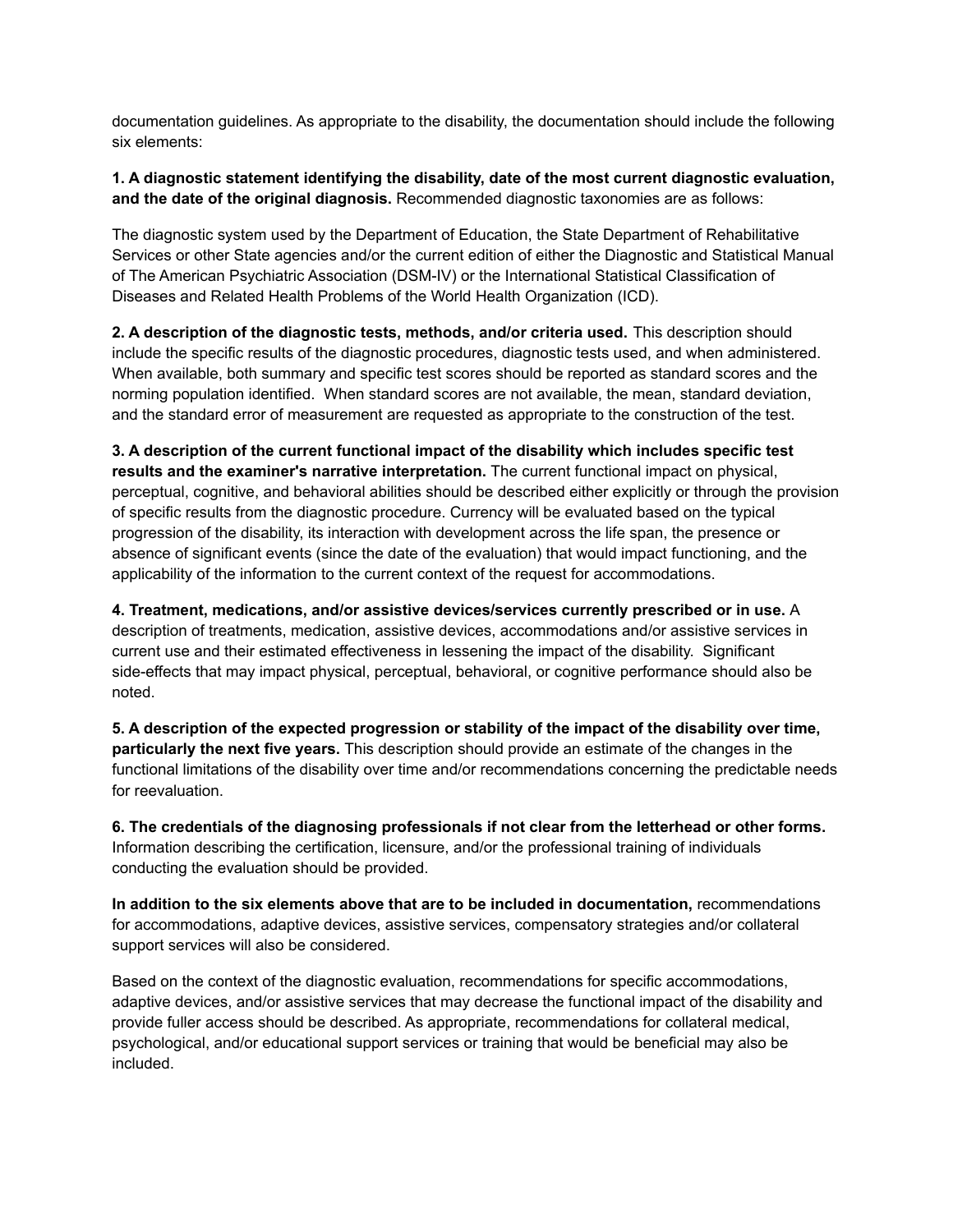documentation guidelines. As appropriate to the disability, the documentation should include the following six elements:

## **1. A diagnostic statement identifying the disability, date of the most current diagnostic evaluation, and the date of the original diagnosis.** Recommended diagnostic taxonomies are as follows:

The diagnostic system used by the Department of Education, the State Department of Rehabilitative Services or other State agencies and/or the current edition of either the Diagnostic and Statistical Manual of The American Psychiatric Association (DSM-IV) or the International Statistical Classification of Diseases and Related Health Problems of the World Health Organization (ICD).

**2. A description of the diagnostic tests, methods, and/or criteria used.** This description should include the specific results of the diagnostic procedures, diagnostic tests used, and when administered. When available, both summary and specific test scores should be reported as standard scores and the norming population identified. When standard scores are not available, the mean, standard deviation, and the standard error of measurement are requested as appropriate to the construction of the test.

**3. A description of the current functional impact of the disability which includes specific test results and the examiner's narrative interpretation.** The current functional impact on physical, perceptual, cognitive, and behavioral abilities should be described either explicitly or through the provision of specific results from the diagnostic procedure. Currency will be evaluated based on the typical progression of the disability, its interaction with development across the life span, the presence or absence of significant events (since the date of the evaluation) that would impact functioning, and the applicability of the information to the current context of the request for accommodations.

**4. Treatment, medications, and/or assistive devices/services currently prescribed or in use.** A description of treatments, medication, assistive devices, accommodations and/or assistive services in current use and their estimated effectiveness in lessening the impact of the disability. Significant side-effects that may impact physical, perceptual, behavioral, or cognitive performance should also be noted.

**5. A description of the expected progression or stability of the impact of the disability over time, particularly the next five years.** This description should provide an estimate of the changes in the functional limitations of the disability over time and/or recommendations concerning the predictable needs for reevaluation.

**6. The credentials of the diagnosing professionals if not clear from the letterhead or other forms.** Information describing the certification, licensure, and/or the professional training of individuals conducting the evaluation should be provided.

**In addition to the six elements above that are to be included in documentation,** recommendations for accommodations, adaptive devices, assistive services, compensatory strategies and/or collateral support services will also be considered.

Based on the context of the diagnostic evaluation, recommendations for specific accommodations, adaptive devices, and/or assistive services that may decrease the functional impact of the disability and provide fuller access should be described. As appropriate, recommendations for collateral medical, psychological, and/or educational support services or training that would be beneficial may also be included.